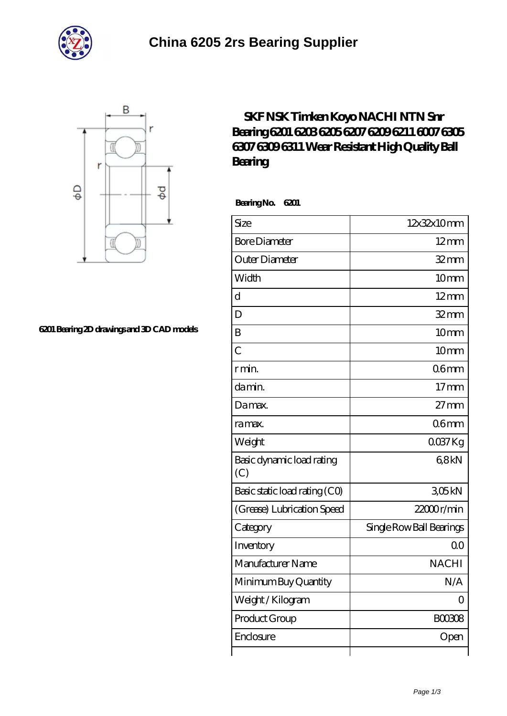



## **[6201 Bearing 2D drawings and 3D CAD models](https://m.bluffsarts.org/pic-665796.html)**

## **[SKF NSK Timken Koyo NACHI NTN Snr](https://m.bluffsarts.org/skf-6309-Bearing/nachi-6201/) [Bearing 6201 6203 6205 6207 6209 6211 6007 6305](https://m.bluffsarts.org/skf-6309-Bearing/nachi-6201/) [6307 6309 6311 Wear Resistant High Quality Ball](https://m.bluffsarts.org/skf-6309-Bearing/nachi-6201/) [Bearing](https://m.bluffsarts.org/skf-6309-Bearing/nachi-6201/)**

 **Bearing No. 6201**

| Size                             | 12x32x10mm               |
|----------------------------------|--------------------------|
| <b>Bore Diameter</b>             | $12 \text{mm}$           |
| Outer Diameter                   | $32$ mm                  |
| Width                            | 10mm                     |
| $\overline{d}$                   | $12 \text{mm}$           |
| $\overline{D}$                   | $32$ mm                  |
| B                                | 10 <sub>mm</sub>         |
| $\overline{C}$                   | 10mm                     |
| r min.                           | 06 <sub>mm</sub>         |
| da min.                          | 17 <sub>mm</sub>         |
| Da max.                          | $27 \text{mm}$           |
| ra max.                          | 06 <sub>mm</sub>         |
| Weight                           | $0037$ Kg                |
| Basic dynamic load rating<br>(C) | 68kN                     |
| Basic static load rating (CO)    | 305kN                    |
| (Grease) Lubrication Speed       | $22000$ r/min            |
| Category                         | Single Row Ball Bearings |
| Inventory                        | 0 <sup>0</sup>           |
| Manufacturer Name                | <b>NACHI</b>             |
| Minimum Buy Quantity             | N/A                      |
| Weight / Kilogram                | Ω                        |
| Product Group                    | <b>BOO3O8</b>            |
| Enclosure                        | Open                     |
|                                  |                          |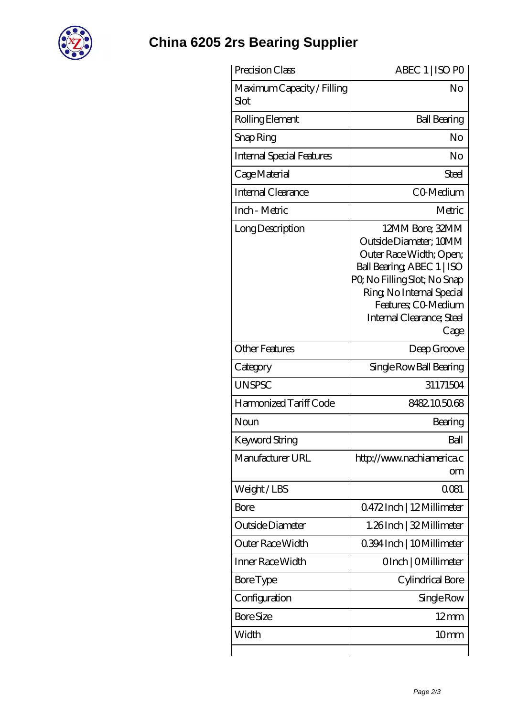

## **[China 6205 2rs Bearing Supplier](https://m.bluffsarts.org)**

| Precision Class                    | ABEC 1   ISO PO                                                                                                                                                                                                            |
|------------------------------------|----------------------------------------------------------------------------------------------------------------------------------------------------------------------------------------------------------------------------|
| Maximum Capacity / Filling<br>Slot | No                                                                                                                                                                                                                         |
| Rolling Element                    | <b>Ball Bearing</b>                                                                                                                                                                                                        |
| Snap Ring                          | No                                                                                                                                                                                                                         |
| <b>Internal Special Features</b>   | No                                                                                                                                                                                                                         |
| Cage Material                      | Steel                                                                                                                                                                                                                      |
| Internal Clearance                 | CO-Medium                                                                                                                                                                                                                  |
| Inch - Metric                      | Metric                                                                                                                                                                                                                     |
| Long Description                   | 12MM Bore; 32MM<br>Outside Diameter; 10MM<br>Outer Race Width; Open;<br>Ball Bearing, ABEC 1   ISO<br>PQ No Filling Slot; No Snap<br>Ring, No Internal Special<br>Features; CO-Medium<br>Internal Clearance; Steel<br>Cage |
| <b>Other Features</b>              | Deep Groove                                                                                                                                                                                                                |
| Category                           | Single Row Ball Bearing                                                                                                                                                                                                    |
| <b>UNSPSC</b>                      | 31171504                                                                                                                                                                                                                   |
| Harmonized Tariff Code             | 8482105068                                                                                                                                                                                                                 |
| Noun                               | Bearing                                                                                                                                                                                                                    |
| Keyword String                     | Ball                                                                                                                                                                                                                       |
| Manufacturer URL                   | http://www.nachiamerica.c<br>om                                                                                                                                                                                            |
| Weight/LBS                         | 0081                                                                                                                                                                                                                       |
| Bore                               | Q472Inch   12Millimeter                                                                                                                                                                                                    |
| Outside Diameter                   | 1.26Inch   32 Millimeter                                                                                                                                                                                                   |
| Outer Race Width                   | 0.394 Inch   10 Millimeter                                                                                                                                                                                                 |
| Inner Race Width                   | OInch   OMillimeter                                                                                                                                                                                                        |
| Bore Type                          | Cylindrical Bore                                                                                                                                                                                                           |
| Configuration                      | Single Row                                                                                                                                                                                                                 |
| <b>Bore Size</b>                   | $12 \text{mm}$                                                                                                                                                                                                             |
| Width                              | 10mm                                                                                                                                                                                                                       |
|                                    |                                                                                                                                                                                                                            |